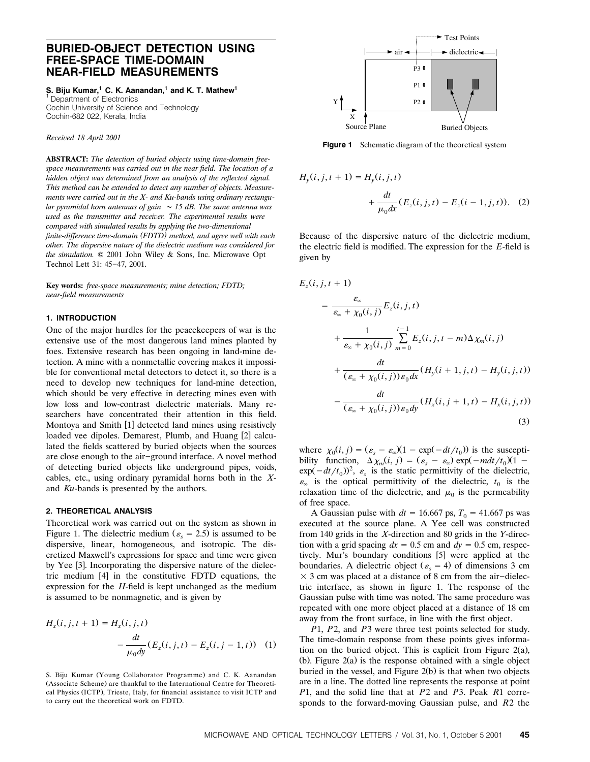# **BURIED-OBJECT DETECTION USING FREE-SPACE TIME-DOMAIN NEAR-FIELD MEASUREMENTS**

**S. Biju Kumar,1 C. K. Aanandan,1 and K. T. Mathew1**

<sup>1</sup> Department of Electronics Cochin University of Science and Technology Cochin-682 022, Kerala, India

*Receied 18 April 2001*

**ABSTRACT:** *The detection of buried objects using time-domain freespace measurements was carried out in the near field. The location of a hidden object was determined from an analysis of the reflected signal. This method can be extended to detect any number of objects. Measurements were carried out in the X- and Ku-bands using ordinary rectangular pyramidal horn antennas of gain 15 dB. The same antenna was used as the transmitter and receier. The experimental results were compared with simulated results by applying the two-dimensional finite-difference time-domain FDTD method, and agree well with each ( ) other. The dispersie nature of the dielectric medium was considered for* the simulation.  $© 2001$  John Wiley & Sons, Inc. Microwave Opt Technol Lett 31: 45-47, 2001.

**Key words:** *free-space measurements; mine detection; FDTD; near-field measurements*

# **1. INTRODUCTION**

One of the major hurdles for the peacekeepers of war is the extensive use of the most dangerous land mines planted by foes. Extensive research has been ongoing in land-mine detection. A mine with a nonmetallic covering makes it impossible for conventional metal detectors to detect it, so there is a need to develop new techniques for land-mine detection, which should be very effective in detecting mines even with low loss and low-contrast dielectric materials. Many researchers have concentrated their attention in this field. Montoya and Smith [1] detected land mines using resistively loaded vee dipoles. Demarest, Plumb, and Huang [2] calculated the fields scattered by buried objects when the sources are close enough to the air-ground interface. A novel method of detecting buried objects like underground pipes, voids, cables, etc., using ordinary pyramidal horns both in the *X*and *Ku*-bands is presented by the authors.

### **2. THEORETICAL ANALYSIS**

Theoretical work was carried out on the system as shown in Figure 1. The dielectric medium ( $\varepsilon$ <sub>s</sub> = 2.5) is assumed to be dispersive, linear, homogeneous, and isotropic. The discretized Maxwell's expressions for space and time were given by Yee [3]. Incorporating the dispersive nature of the dielectric medium  $[4]$  in the constitutive FDTD equations, the expression for the *H*-field is kept unchanged as the medium is assumed to be nonmagnetic, and is given by

$$
H_x(i, j, t+1) = H_x(i, j, t)
$$
  
- 
$$
\frac{dt}{\mu_0 dy} (E_z(i, j, t) - E_z(i, j-1, t))
$$
 (1)

S. Biju Kumar (Young Collaborator Programme) and C. K. Aanandan (Associate Scheme) are thankful to the International Centre for Theoretical Physics (ICTP), Trieste, Italy, for financial assistance to visit ICTP and to carry out the theoretical work on FDTD.



Figure 1 Schematic diagram of the theoretical system

$$
H_y(i, j, t+1) = H_y(i, j, t)
$$
  
+ 
$$
\frac{dt}{\mu_0 dx} (E_z(i, j, t) - E_z(i-1, j, t)).
$$
 (2)

Because of the dispersive nature of the dielectric medium, the electric field is modified. The expression for the *E*-field is given by

$$
E_z(i, j, t + 1)
$$
\n
$$
= \frac{\varepsilon_{\infty}}{\varepsilon_{\infty} + \chi_0(i, j)} E_z(i, j, t)
$$
\n
$$
+ \frac{1}{\varepsilon_{\infty} + \chi_0(i, j)} \sum_{m=0}^{t-1} E_z(i, j, t - m) \Delta \chi_m(i, j)
$$
\n
$$
+ \frac{dt}{(\varepsilon_{\infty} + \chi_0(i, j)) \varepsilon_0 dx} (H_y(i + 1, j, t) - H_y(i, j, t))
$$
\n
$$
- \frac{dt}{(\varepsilon_{\infty} + \chi_0(i, j)) \varepsilon_0 dy} (H_x(i, j + 1, t) - H_x(i, j, t))
$$
\n(3)

where  $\chi_0(i, j) = (\varepsilon_s - \varepsilon_\infty)(1 - \exp(-\frac{dt}{t_0}))$  is the susceptibility function,  $\Delta \chi_m(i, j) = (\varepsilon_s - \varepsilon_\infty) \exp(-m dt / t_0) (1 \exp(-dt/t_0)^2$ ,  $\varepsilon_s$  is the static permittivity of the dielectric,  $\varepsilon_{\infty}$  is the optical permittivity of the dielectric,  $t_0$  is the relaxation time of the dielectric, and  $\mu_0$  is the permeability of free space.

A Gaussian pulse with  $dt = 16.667$  ps,  $T_0 = 41.667$  ps was executed at the source plane. A Yee cell was constructed from 140 grids in the *X*-direction and 80 grids in the *Y*-direction with a grid spacing  $dx = 0.5$  cm and  $dy = 0.5$  cm, respectively. Mur's boundary conditions [5] were applied at the boundaries. A dielectric object  $(\varepsilon_s = 4)$  of dimensions 3 cm  $\times$  3 cm was placed at a distance of 8 cm from the air-dielectric interface, as shown in figure 1. The response of the Gaussian pulse with time was noted. The same procedure was repeated with one more object placed at a distance of 18 cm away from the front surface, in line with the first object.

*P*1, *P*2, and *P*3 were three test points selected for study. The time-domain response from these points gives information on the buried object. This is explicit from Figure 2(a), (b). Figure  $2(a)$  is the response obtained with a single object buried in the vessel, and Figure  $2(b)$  is that when two objects are in a line. The dotted line represents the response at point *P*1, and the solid line that at *P*2 and *P*3. Peak *R*1 corresponds to the forward-moving Gaussian pulse, and *R*2 the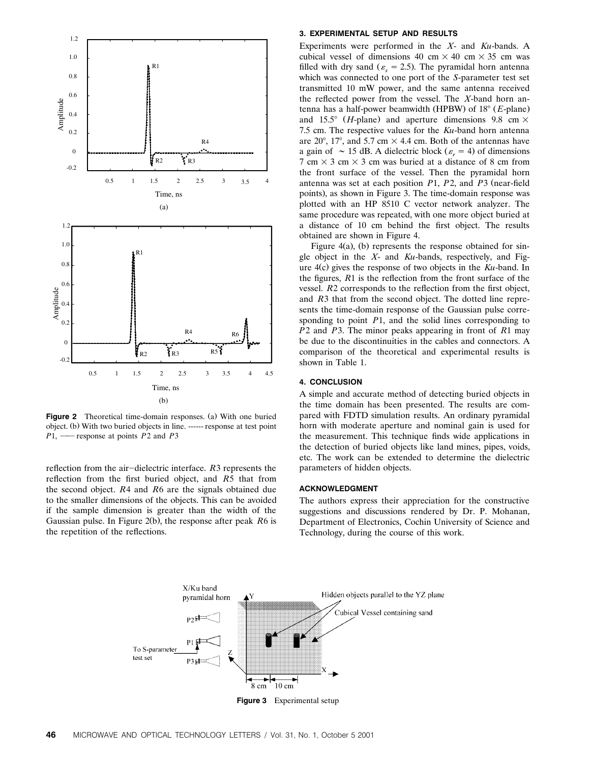

Figure 2 Theoretical time-domain responses. (a) With one buried object. (b) With two buried objects in line. ------ response at test point  $P1$ . — response at points *P*2 and *P*3

reflection from the air-dielectric interface. *R3* represents the reflection from the first buried object, and *R*5 that from the second object. *R*4 and *R*6 are the signals obtained due to the smaller dimensions of the objects. This can be avoided if the sample dimension is greater than the width of the Gaussian pulse. In Figure 2(b), the response after peak R6 is the repetition of the reflections.

## **3. EXPERIMENTAL SETUP AND RESULTS**

Experiments were performed in the *X*- and *Ku*-bands. A cubical vessel of dimensions 40 cm  $\times$  40 cm  $\times$  35 cm was filled with dry sand ( $\varepsilon$ <sub>s</sub> = 2.5). The pyramidal horn antenna which was connected to one port of the *S*-parameter test set transmitted 10 mW power, and the same antenna received the reflected power from the vessel. The *X*-band horn antenna has a half-power beamwidth (HPBW) of 18° (*E*-plane) and 15.5°  $(H$ -plane) and aperture dimensions 9.8 cm  $\times$ 7.5 cm. The respective values for the *Ku*-band horn antenna are 20°, 17°, and 5.7 cm  $\times$  4.4 cm. Both of the antennas have a gain of  $\sim 15$  dB. A dielectric block ( $\varepsilon = 4$ ) of dimensions 7 cm  $\times$  3 cm  $\times$  3 cm was buried at a distance of 8 cm from the front surface of the vessel. Then the pyramidal horn antenna was set at each position *P*1, *P*2, and *P*3 (near-field points), as shown in Figure 3. The time-domain response was plotted with an HP 8510 C vector network analyzer. The same procedure was repeated, with one more object buried at a distance of 10 cm behind the first object. The results obtained are shown in Figure 4.

Figure 4(a), (b) represents the response obtained for single object in the *X*- and *Ku*-bands, respectively, and Figure 4(c) gives the response of two objects in the *Ku*-band. In the figures, *R*1 is the reflection from the front surface of the vessel. *R*2 corresponds to the reflection from the first object, and *R*3 that from the second object. The dotted line represents the time-domain response of the Gaussian pulse corresponding to point *P*1, and the solid lines corresponding to *P*2 and *P*3. The minor peaks appearing in front of *R*1 may be due to the discontinuities in the cables and connectors. A comparison of the theoretical and experimental results is shown in Table 1.

# **4. CONCLUSION**

A simple and accurate method of detecting buried objects in the time domain has been presented. The results are compared with FDTD simulation results. An ordinary pyramidal horn with moderate aperture and nominal gain is used for the measurement. This technique finds wide applications in the detection of buried objects like land mines, pipes, voids, etc. The work can be extended to determine the dielectric parameters of hidden objects.

## **ACKNOWLEDGMENT**

The authors express their appreciation for the constructive suggestions and discussions rendered by Dr. P. Mohanan, Department of Electronics, Cochin University of Science and Technology, during the course of this work.